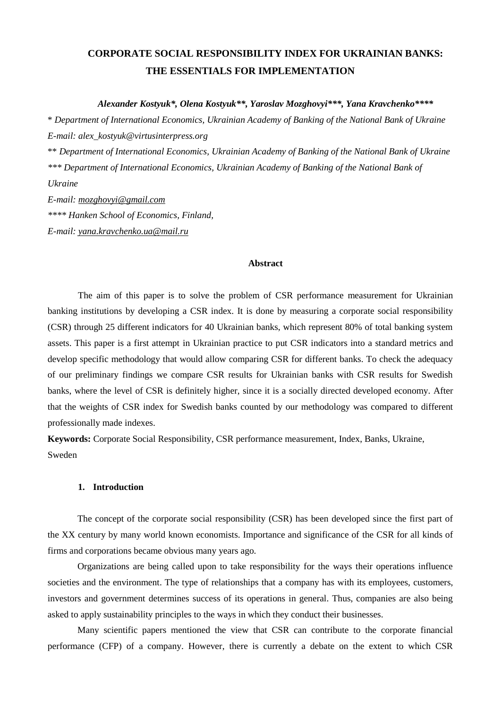# **CORPORATE SOCIAL RESPONSIBILITY INDEX FOR UKRAINIAN BANKS: THE ESSENTIALS FOR IMPLEMENTATION**

*Alexander Kostyuk\*, Olena Kostyuk\*\*, Yaroslav Mozghovyi\*\*\*, Yana Kravchenko\*\*\*\**

\* *Department of International Economics, Ukrainian Academy of Banking of the National Bank of Ukraine E-mail: alex\_kostyuk@virtusinterpress.org* \*\* *Department of International Economics, Ukrainian Academy of Banking of the National Bank of Ukraine \*\*\* Department of International Economics, Ukrainian Academy of Banking of the National Bank of Ukraine E-mail: mozghovyi@gmail.com*

*\*\*\*\* Hanken School of Economics, Finland, E-mail: yana.kravchenko.ua@mail.ru*

## **Abstract**

The aim of this paper is to solve the problem of CSR performance measurement for Ukrainian banking institutions by developing a CSR index. It is done by measuring a corporate social responsibility (CSR) through 25 different indicators for 40 Ukrainian banks, which represent 80% of total banking system assets. This paper is a first attempt in Ukrainian practice to put CSR indicators into a standard metrics and develop specific methodology that would allow comparing CSR for different banks. To check the adequacy of our preliminary findings we compare CSR results for Ukrainian banks with CSR results for Swedish banks, where the level of CSR is definitely higher, since it is a socially directed developed economy. After that the weights of CSR index for Swedish banks counted by our methodology was compared to different professionally made indexes.

**Keywords:** Corporate Social Responsibility, CSR performance measurement, Index, Banks, Ukraine, Sweden

# **1. Introduction**

The concept of the corporate social responsibility (CSR) has been developed since the first part of the XX century by many world known economists. Importance and significance of the CSR for all kinds of firms and corporations became obvious many years ago.

Organizations are being called upon to take responsibility for the ways their operations influence societies and the environment. The type of relationships that a company has with its employees, customers, investors and government determines success of its operations in general. Thus, companies are also being asked to apply sustainability principles to the ways in which they conduct their businesses.

Many scientific papers mentioned the view that CSR can contribute to the corporate financial performance (CFP) of a company. However, there is currently a debate on the extent to which CSR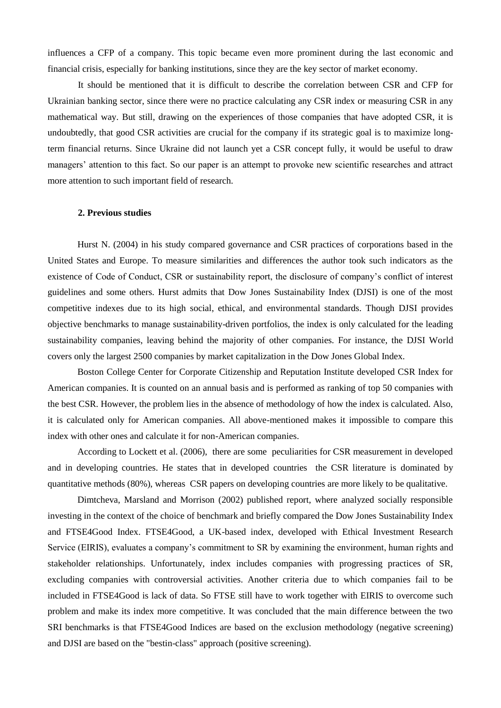influences a CFP of a company. This topic became even more prominent during the last economic and financial crisis, especially for banking institutions, since they are the key sector of market economy.

It should be mentioned that it is difficult to describe the correlation between CSR and CFP for Ukrainian banking sector, since there were no practice calculating any CSR index or measuring CSR in any mathematical way. But still, drawing on the experiences of those companies that have adopted CSR, it is undoubtedly, that good CSR activities are crucial for the company if its strategic goal is to maximize longterm financial returns. Since Ukraine did not launch yet a CSR concept fully, it would be useful to draw managers' attention to this fact. So our paper is an attempt to provoke new scientific researches and attract more attention to such important field of research.

#### **2. Previous studies**

Hurst N. (2004) in his study compared governance and CSR practices of corporations based in the United States and Europe. To measure similarities and differences the author took such indicators as the existence of Code of Conduct, CSR or sustainability report, the disclosure of company's conflict of interest guidelines and some others. Hurst admits that Dow Jones Sustainability Index (DJSI) is one of the most competitive indexes due to its high social, ethical, and environmental standards. Though DJSI provides objective benchmarks to manage sustainability-driven portfolios, the index is only calculated for the leading sustainability companies, leaving behind the majority of other companies. For instance, the DJSI World covers only the largest 2500 companies by market capitalization in the Dow Jones Global Index.

Boston College Center for Corporate Citizenship and Reputation Institute developed CSR Index for American companies. It is counted on an annual basis and is performed as ranking of top 50 companies with the best CSR. However, the problem lies in the absence of methodology of how the index is calculated. Also, it is calculated only for American companies. All above-mentioned makes it impossible to compare this index with other ones and calculate it for non-American companies.

According to Lockett et al. (2006), there are some peculiarities for CSR measurement in developed and in developing countries. He states that in developed countries the CSR literature is dominated by quantitative methods (80%), whereas CSR papers on developing countries are more likely to be qualitative.

Dimtcheva, Marsland and Morrison (2002) published report, where analyzed socially responsible investing in the context of the choice of benchmark and briefly compared the Dow Jones Sustainability Index and FTSE4Good Index. FTSE4Good, a UK-based index, developed with Ethical Investment Research Service (EIRIS), evaluates a company's commitment to SR by examining the environment, human rights and stakeholder relationships. Unfortunately, index includes companies with progressing practices of SR, excluding companies with controversial activities. Another criteria due to which companies fail to be included in FTSE4Good is lack of data. So FTSE still have to work together with EIRIS to overcome such problem and make its index more competitive. It was concluded that the main difference between the two SRI benchmarks is that FTSE4Good Indices are based on the exclusion methodology (negative screening) and DJSI are based on the "bestin-class" approach (positive screening).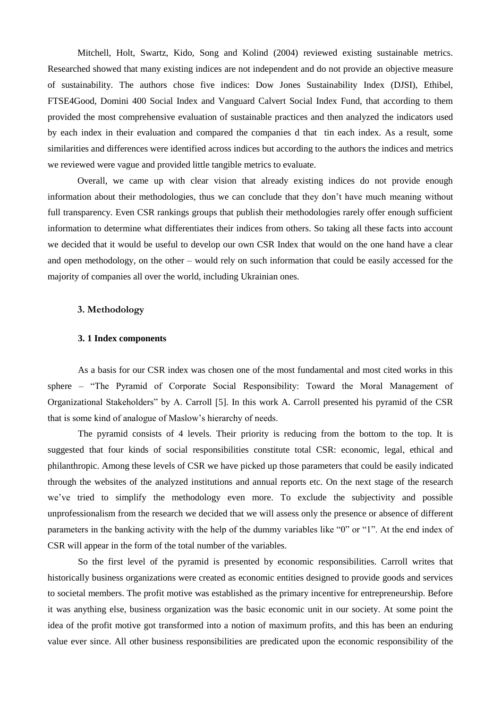Mitchell, Holt, Swartz, Kido, Song and Kolind (2004) reviewed existing sustainable metrics. Researched showed that many existing indices are not independent and do not provide an objective measure of sustainability. The authors chose five indices: Dow Jones Sustainability Index (DJSI), Ethibel, FTSE4Good, Domini 400 Social Index and Vanguard Calvert Social Index Fund, that according to them provided the most comprehensive evaluation of sustainable practices and then analyzed the indicators used by each index in their evaluation and compared the companies d that tin each index. As a result, some similarities and differences were identified across indices but according to the authors the indices and metrics we reviewed were vague and provided little tangible metrics to evaluate.

Overall, we came up with clear vision that already existing indices do not provide enough information about their methodologies, thus we can conclude that they don't have much meaning without full transparency. Even CSR rankings groups that publish their methodologies rarely offer enough sufficient information to determine what differentiates their indices from others. So taking all these facts into account we decided that it would be useful to develop our own CSR Index that would on the one hand have a clear and open methodology, on the other – would rely on such information that could be easily accessed for the majority of companies all over the world, including Ukrainian ones.

## **3. Methodology**

## **3. 1 Index components**

As a basis for our CSR index was chosen one of the most fundamental and most cited works in this sphere – "The Pyramid of Corporate Social Responsibility: Toward the Moral Management of Organizational Stakeholders" by A. Carroll [5]. In this work A. Carroll presented his pyramid of the CSR that is some kind of analogue of Maslow's hierarchy of needs.

The pyramid consists of 4 levels. Their priority is reducing from the bottom to the top. It is suggested that four kinds of social responsibilities constitute total CSR: economic, legal, ethical and philanthropic. Among these levels of CSR we have picked up those parameters that could be easily indicated through the websites of the analyzed institutions and annual reports etc. On the next stage of the research we've tried to simplify the methodology even more. To exclude the subjectivity and possible unprofessionalism from the research we decided that we will assess only the presence or absence of different parameters in the banking activity with the help of the dummy variables like "0" or "1". At the end index of CSR will appear in the form of the total number of the variables.

So the first level of the pyramid is presented by economic responsibilities. Carroll writes that historically business organizations were created as economic entities designed to provide goods and services to societal members. The profit motive was established as the primary incentive for entrepreneurship. Before it was anything else, business organization was the basic economic unit in our society. At some point the idea of the profit motive got transformed into a notion of maximum profits, and this has been an enduring value ever since. All other business responsibilities are predicated upon the economic responsibility of the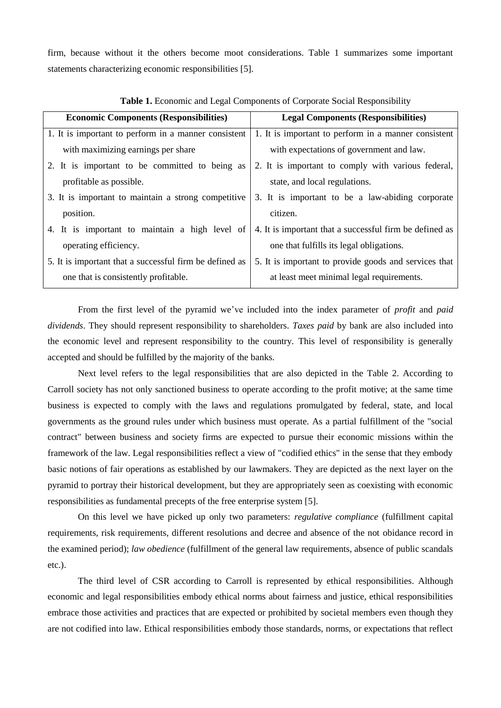firm, because without it the others become moot considerations. Table 1 summarizes some important statements characterizing economic responsibilities [5].

| <b>Economic Components (Responsibilities)</b>           | <b>Legal Components (Responsibilities)</b>              |
|---------------------------------------------------------|---------------------------------------------------------|
| 1. It is important to perform in a manner consistent    | 1. It is important to perform in a manner consistent    |
| with maximizing earnings per share                      | with expectations of government and law.                |
| 2. It is important to be committed to being as          | 2. It is important to comply with various federal,      |
| profitable as possible.                                 | state, and local regulations.                           |
| 3. It is important to maintain a strong competitive     | 3. It is important to be a law-abiding corporate        |
| position.                                               | citizen.                                                |
| 4. It is important to maintain a high level of          | 4. It is important that a successful firm be defined as |
| operating efficiency.                                   | one that fulfills its legal obligations.                |
| 5. It is important that a successful firm be defined as | 5. It is important to provide goods and services that   |
| one that is consistently profitable.                    | at least meet minimal legal requirements.               |

**Table 1.** Economic and Legal Components of Corporate Social Responsibility

From the first level of the pyramid we've included into the index parameter of *profit* and *paid dividends*. They should represent responsibility to shareholders. *Taxes paid* by bank are also included into the economic level and represent responsibility to the country. This level of responsibility is generally accepted and should be fulfilled by the majority of the banks.

Next level refers to the legal responsibilities that are also depicted in the Table 2. According to Carroll society has not only sanctioned business to operate according to the profit motive; at the same time business is expected to comply with the laws and regulations promulgated by federal, state, and local governments as the ground rules under which business must operate. As a partial fulfillment of the "social contract" between business and society firms are expected to pursue their economic missions within the framework of the law. Legal responsibilities reflect a view of "codified ethics" in the sense that they embody basic notions of fair operations as established by our lawmakers. They are depicted as the next layer on the pyramid to portray their historical development, but they are appropriately seen as coexisting with economic responsibilities as fundamental precepts of the free enterprise system [5].

On this level we have picked up only two parameters: *regulative compliance* (fulfillment capital requirements, risk requirements, different resolutions and decree and absence of the not obidance record in the examined period); *law obedience* (fulfillment of the general law requirements, absence of public scandals etc.).

The third level of CSR according to Carroll is represented by ethical responsibilities. Although economic and legal responsibilities embody ethical norms about fairness and justice, ethical responsibilities embrace those activities and practices that are expected or prohibited by societal members even though they are not codified into law. Ethical responsibilities embody those standards, norms, or expectations that reflect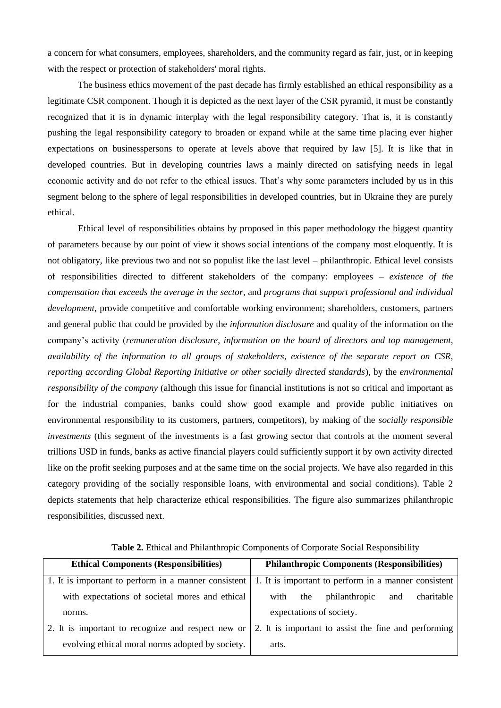a concern for what consumers, employees, shareholders, and the community regard as fair, just, or in keeping with the respect or protection of stakeholders' moral rights.

The business ethics movement of the past decade has firmly established an ethical responsibility as a legitimate CSR component. Though it is depicted as the next layer of the CSR pyramid, it must be constantly recognized that it is in dynamic interplay with the legal responsibility category. That is, it is constantly pushing the legal responsibility category to broaden or expand while at the same time placing ever higher expectations on businesspersons to operate at levels above that required by law [5]. It is like that in developed countries. But in developing countries laws a mainly directed on satisfying needs in legal economic activity and do not refer to the ethical issues. That's why some parameters included by us in this segment belong to the sphere of legal responsibilities in developed countries, but in Ukraine they are purely ethical.

Ethical level of responsibilities obtains by proposed in this paper methodology the biggest quantity of parameters because by our point of view it shows social intentions of the company most eloquently. It is not obligatory, like previous two and not so populist like the last level – philanthropic. Ethical level consists of responsibilities directed to different stakeholders of the company: employees – *existence of the compensation that exceeds the average in the sector*, and *programs that support professional and individual development*, provide competitive and comfortable working environment; shareholders, customers, partners and general public that could be provided by the *information disclosure* and quality of the information on the company's activity (*remuneration disclosure*, *information on the board of directors and top management*, *availability of the information to all groups of stakeholders*, *existence of the separate report on CSR, reporting according Global Reporting Initiative or other socially directed standards*), by the *environmental responsibility of the company* (although this issue for financial institutions is not so critical and important as for the industrial companies, banks could show good example and provide public initiatives on environmental responsibility to its customers, partners, competitors), by making of the *socially responsible investments* (this segment of the investments is a fast growing sector that controls at the moment several trillions USD in funds, banks as active financial players could sufficiently support it by own activity directed like on the profit seeking purposes and at the same time on the social projects. We have also regarded in this category providing of the socially responsible loans, with environmental and social conditions). Table 2 depicts statements that help characterize ethical responsibilities. The figure also summarizes philanthropic responsibilities, discussed next.

| <b>Ethical Components (Responsibilities)</b>         | <b>Philanthropic Components (Responsibilities)</b>   |  |  |
|------------------------------------------------------|------------------------------------------------------|--|--|
| 1. It is important to perform in a manner consistent | 1. It is important to perform in a manner consistent |  |  |
| with expectations of societal mores and ethical      | philanthropic<br>charitable<br>with<br>the<br>and    |  |  |
| norms.                                               | expectations of society.                             |  |  |
| 2. It is important to recognize and respect new or   | 2. It is important to assist the fine and performing |  |  |
| evolving ethical moral norms adopted by society.     | arts.                                                |  |  |

**Table 2.** Ethical and Philanthropic Components of Corporate Social Responsibility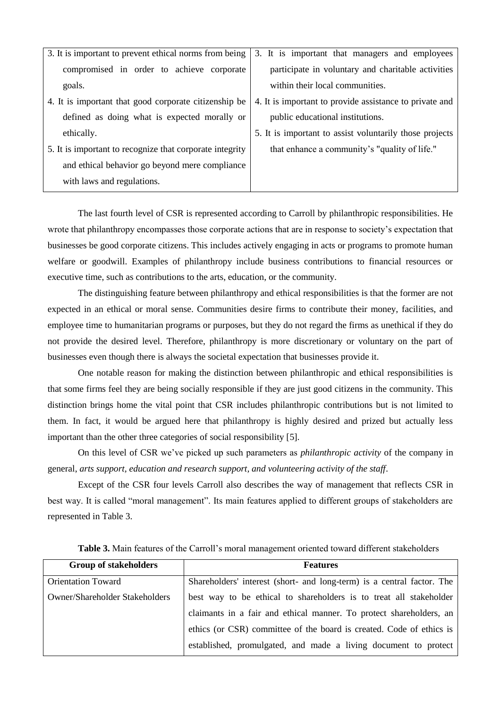- 3. It is important to prevent ethical norms from being compromised in order to achieve corporate goals.
- 4. It is important that good corporate citizenship be defined as doing what is expected morally or ethically.
- 5. It is important to recognize that corporate integrity and ethical behavior go beyond mere compliance with laws and regulations.
- 3. It is important that managers and employees participate in voluntary and charitable activities within their local communities.
- 4. It is important to provide assistance to private and public educational institutions.
- 5. It is important to assist voluntarily those projects that enhance a community's "quality of life."

The last fourth level of CSR is represented according to Carroll by philanthropic responsibilities. He wrote that philanthropy encompasses those corporate actions that are in response to society's expectation that businesses be good corporate citizens. This includes actively engaging in acts or programs to promote human welfare or goodwill. Examples of philanthropy include business contributions to financial resources or executive time, such as contributions to the arts, education, or the community.

The distinguishing feature between philanthropy and ethical responsibilities is that the former are not expected in an ethical or moral sense. Communities desire firms to contribute their money, facilities, and employee time to humanitarian programs or purposes, but they do not regard the firms as unethical if they do not provide the desired level. Therefore, philanthropy is more discretionary or voluntary on the part of businesses even though there is always the societal expectation that businesses provide it.

One notable reason for making the distinction between philanthropic and ethical responsibilities is that some firms feel they are being socially responsible if they are just good citizens in the community. This distinction brings home the vital point that CSR includes philanthropic contributions but is not limited to them. In fact, it would be argued here that philanthropy is highly desired and prized but actually less important than the other three categories of social responsibility [5].

On this level of CSR we've picked up such parameters as *philanthropic activity* of the company in general, *arts support, education and research support, and volunteering activity of the staff*.

Except of the CSR four levels Carroll also describes the way of management that reflects CSR in best way. It is called "moral management". Its main features applied to different groups of stakeholders are represented in Table 3.

| <b>Group of stakeholders</b>          | <b>Features</b>                                                        |  |  |
|---------------------------------------|------------------------------------------------------------------------|--|--|
| <b>Orientation Toward</b>             | Shareholders' interest (short- and long-term) is a central factor. The |  |  |
| <b>Owner/Shareholder Stakeholders</b> | best way to be ethical to shareholders is to treat all stakeholder     |  |  |
|                                       | claimants in a fair and ethical manner. To protect shareholders, an    |  |  |
|                                       | ethics (or CSR) committee of the board is created. Code of ethics is   |  |  |
|                                       | established, promulgated, and made a living document to protect        |  |  |

**Table 3.** Main features of the Carroll's moral management oriented toward different stakeholders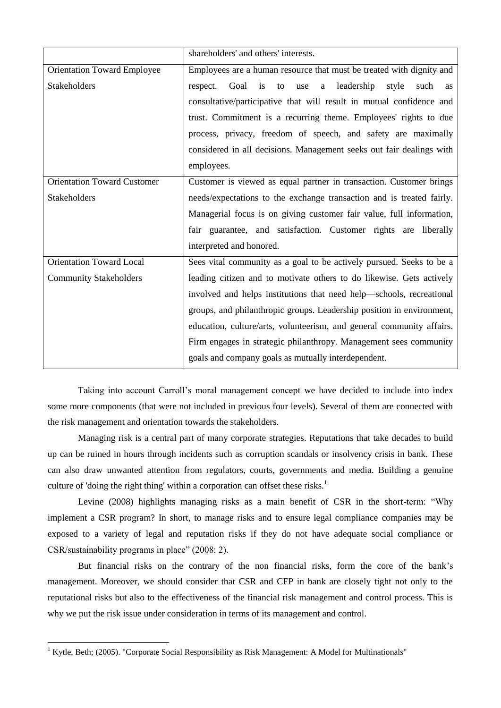|                                    | shareholders' and others' interests.                                                 |  |  |
|------------------------------------|--------------------------------------------------------------------------------------|--|--|
| <b>Orientation Toward Employee</b> | Employees are a human resource that must be treated with dignity and                 |  |  |
| <b>Stakeholders</b>                | is<br>leadership<br>Goal<br>style<br>respect.<br>to<br>use<br>a<br>such<br><b>as</b> |  |  |
|                                    | consultative/participative that will result in mutual confidence and                 |  |  |
|                                    | trust. Commitment is a recurring theme. Employees' rights to due                     |  |  |
|                                    | process, privacy, freedom of speech, and safety are maximally                        |  |  |
|                                    | considered in all decisions. Management seeks out fair dealings with                 |  |  |
|                                    | employees.                                                                           |  |  |
| <b>Orientation Toward Customer</b> | Customer is viewed as equal partner in transaction. Customer brings                  |  |  |
| <b>Stakeholders</b>                | needs/expectations to the exchange transaction and is treated fairly.                |  |  |
|                                    | Managerial focus is on giving customer fair value, full information,                 |  |  |
|                                    | fair guarantee, and satisfaction. Customer rights are liberally                      |  |  |
|                                    | interpreted and honored.                                                             |  |  |
| <b>Orientation Toward Local</b>    | Sees vital community as a goal to be actively pursued. Seeks to be a                 |  |  |
| <b>Community Stakeholders</b>      | leading citizen and to motivate others to do likewise. Gets actively                 |  |  |
|                                    | involved and helps institutions that need help—schools, recreational                 |  |  |
|                                    | groups, and philanthropic groups. Leadership position in environment,                |  |  |
|                                    | education, culture/arts, volunteerism, and general community affairs.                |  |  |
|                                    | Firm engages in strategic philanthropy. Management sees community                    |  |  |
|                                    | goals and company goals as mutually interdependent.                                  |  |  |

Taking into account Carroll's moral management concept we have decided to include into index some more components (that were not included in previous four levels). Several of them are connected with the risk management and orientation towards the stakeholders.

Managing risk is a central part of many corporate strategies. Reputations that take decades to build up can be ruined in hours through incidents such as corruption scandals or insolvency crisis in bank. These can also draw unwanted attention from regulators, courts, governments and media. Building a genuine culture of 'doing the right thing' within a corporation can offset these risks.<sup>1</sup>

Levine (2008) highlights managing risks as a main benefit of CSR in the short-term: "Why implement a CSR program? In short, to manage risks and to ensure legal compliance companies may be exposed to a variety of legal and reputation risks if they do not have adequate social compliance or CSR/sustainability programs in place" (2008: 2).

But financial risks on the contrary of the non financial risks, form the core of the bank's management. Moreover, we should consider that CSR and CFP in bank are closely tight not only to the reputational risks but also to the effectiveness of the financial risk management and control process. This is why we put the risk issue under consideration in terms of its management and control.

1

<sup>&</sup>lt;sup>1</sup> Kytle, Beth; (2005). "Corporate Social Responsibility as Risk Management: A Model for Multinationals"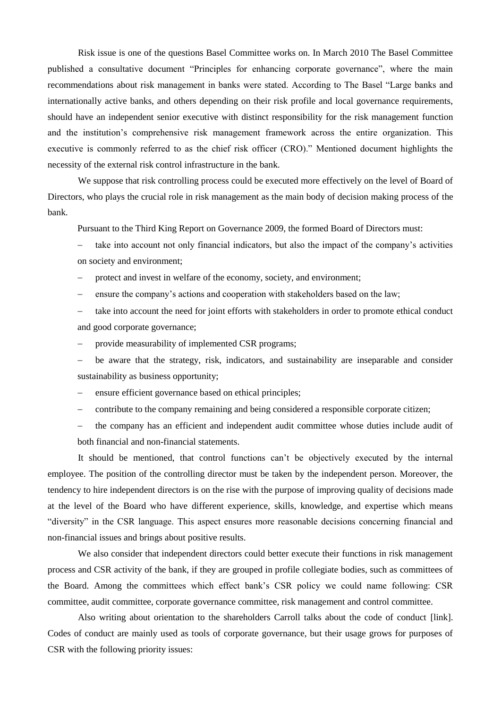Risk issue is one of the questions Basel Committee works on. In March 2010 The Basel Committee published a consultative document "Principles for enhancing corporate governance", where the main recommendations about risk management in banks were stated. According to The Basel "Large banks and internationally active banks, and others depending on their risk profile and local governance requirements, should have an independent senior executive with distinct responsibility for the risk management function and the institution's comprehensive risk management framework across the entire organization. This executive is commonly referred to as the chief risk officer (CRO)." Mentioned document highlights the necessity of the external risk control infrastructure in the bank.

We suppose that risk controlling process could be executed more effectively on the level of Board of Directors, who plays the crucial role in risk management as the main body of decision making process of the bank.

Pursuant to the Third King Report on Governance 2009, the formed Board of Directors must:

 take into account not only financial indicators, but also the impact of the company's activities on society and environment;

protect and invest in welfare of the economy, society, and environment;

ensure the company's actions and cooperation with stakeholders based on the law;

 take into account the need for joint efforts with stakeholders in order to promote ethical conduct and good corporate governance;

provide measurability of implemented CSR programs;

 be aware that the strategy, risk, indicators, and sustainability are inseparable and consider sustainability as business opportunity;

ensure efficient governance based on ethical principles;

contribute to the company remaining and being considered a responsible corporate citizen;

 the company has an efficient and independent audit committee whose duties include audit of both financial and non-financial statements.

It should be mentioned, that control functions can't be objectively executed by the internal employee. The position of the controlling director must be taken by the independent person. Moreover, the tendency to hire independent directors is on the rise with the purpose of improving quality of decisions made at the level of the Board who have different experience, skills, knowledge, and expertise which means "diversity" in the CSR language. This aspect ensures more reasonable decisions concerning financial and non-financial issues and brings about positive results.

We also consider that independent directors could better execute their functions in risk management process and CSR activity of the bank, if they are grouped in profile collegiate bodies, such as committees of the Board. Among the committees which effect bank's CSR policy we could name following: CSR committee, audit committee, corporate governance committee, risk management and control committee.

Also writing about orientation to the shareholders Carroll talks about the code of conduct [link]. Codes of conduct are mainly used as tools of corporate governance, but their usage grows for purposes of CSR with the following priority issues: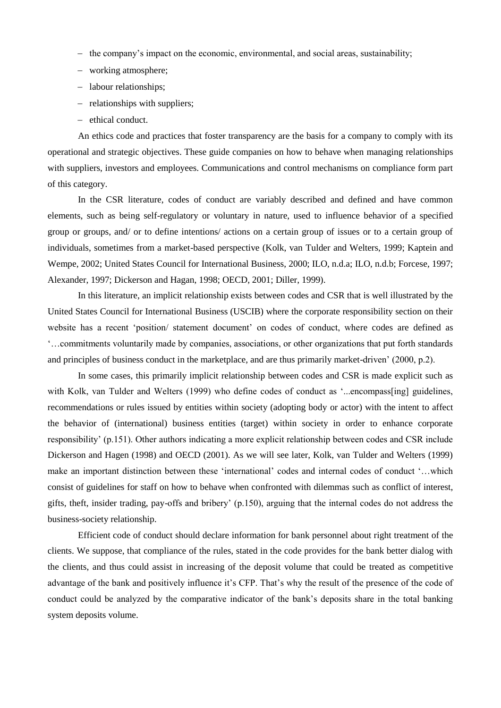- $-$  the company's impact on the economic, environmental, and social areas, sustainability;
- working atmosphere;
- labour relationships;
- relationships with suppliers;
- $-$  ethical conduct.

An ethics code and practices that foster transparency are the basis for a company to comply with its operational and strategic objectives. These guide companies on how to behave when managing relationships with suppliers, investors and employees. Communications and control mechanisms on compliance form part of this category.

In the CSR literature, codes of conduct are variably described and defined and have common elements, such as being self-regulatory or voluntary in nature, used to influence behavior of a specified group or groups, and/ or to define intentions/ actions on a certain group of issues or to a certain group of individuals, sometimes from a market-based perspective (Kolk, van Tulder and Welters, 1999; Kaptein and Wempe, 2002; United States Council for International Business, 2000; ILO, n.d.a; ILO, n.d.b; Forcese, 1997; Alexander, 1997; Dickerson and Hagan, 1998; OECD, 2001; Diller, 1999).

In this literature, an implicit relationship exists between codes and CSR that is well illustrated by the United States Council for International Business (USCIB) where the corporate responsibility section on their website has a recent 'position/ statement document' on codes of conduct, where codes are defined as ‗…commitments voluntarily made by companies, associations, or other organizations that put forth standards and principles of business conduct in the marketplace, and are thus primarily market-driven' (2000, p.2).

In some cases, this primarily implicit relationship between codes and CSR is made explicit such as with Kolk, van Tulder and Welters (1999) who define codes of conduct as '...encompass[ing] guidelines, recommendations or rules issued by entities within society (adopting body or actor) with the intent to affect the behavior of (international) business entities (target) within society in order to enhance corporate responsibility' (p.151). Other authors indicating a more explicit relationship between codes and CSR include Dickerson and Hagen (1998) and OECD (2001). As we will see later, Kolk, van Tulder and Welters (1999) make an important distinction between these 'international' codes and internal codes of conduct '...which consist of guidelines for staff on how to behave when confronted with dilemmas such as conflict of interest, gifts, theft, insider trading, pay-offs and bribery' (p.150), arguing that the internal codes do not address the business-society relationship.

Efficient code of conduct should declare information for bank personnel about right treatment of the clients. We suppose, that compliance of the rules, stated in the code provides for the bank better dialog with the clients, and thus could assist in increasing of the deposit volume that could be treated as competitive advantage of the bank and positively influence it's CFP. That's why the result of the presence of the code of conduct could be analyzed by the comparative indicator of the bank's deposits share in the total banking system deposits volume.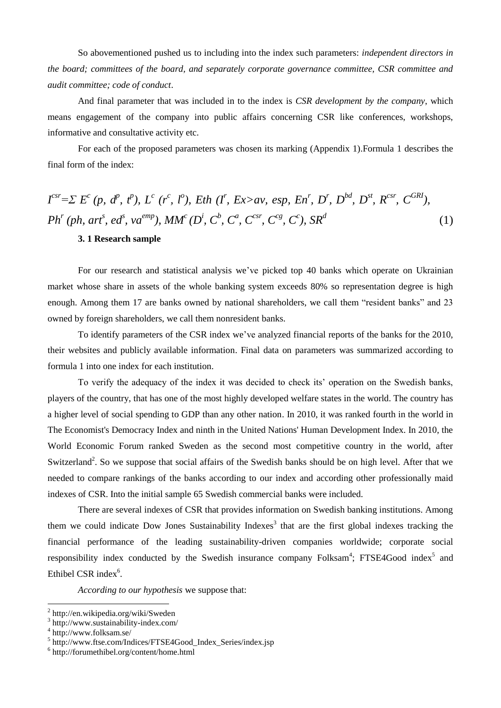So abovementioned pushed us to including into the index such parameters: *independent directors in the board; committees of the board, and separately corporate governance committee, CSR committee and audit committee; code of conduct*.

And final parameter that was included in to the index is *CSR development by the company*, which means engagement of the company into public affairs concerning CSR like conferences, workshops, informative and consultative activity etc.

For each of the proposed parameters was chosen its marking (Appendix 1).Formula 1 describes the final form of the index:

$$
I^{csr}=\Sigma E^{c}(p, d^{p}, t^{p}), L^{c}(r^{c}, l^{o}), \text{Eth}(I^{r}, Ex>av, \text{ esp}, En^{r}, D^{r}, D^{bd}, D^{st}, R^{csr}, C^{GRI}),
$$
  
\n
$$
Ph^{r}(ph, art^{s}, ed^{s}, va^{emp}), MM^{c}(D^{i}, C^{b}, C^{a}, C^{cr}, C^{c}, C^{c}), SR^{d}
$$
\n(1)

## **3. 1 Research sample**

For our research and statistical analysis we've picked top 40 banks which operate on Ukrainian market whose share in assets of the whole banking system exceeds 80% so representation degree is high enough. Among them 17 are banks owned by national shareholders, we call them "resident banks" and 23 owned by foreign shareholders, we call them nonresident banks.

To identify parameters of the CSR index we've analyzed financial reports of the banks for the 2010, their websites and publicly available information. Final data on parameters was summarized according to formula 1 into one index for each institution.

To verify the adequacy of the index it was decided to check its' operation on the Swedish banks, players of the country, that has one of the most highly developed welfare states in the world. The country has a higher level of social spending to GDP than any other nation. In 2010, it was ranked fourth in the world in The Economist's Democracy Index and ninth in the United Nations' Human Development Index. In 2010, the World Economic Forum ranked Sweden as the second most competitive country in the world, after Switzerland<sup>2</sup>. So we suppose that social affairs of the Swedish banks should be on high level. After that we needed to compare rankings of the banks according to our index and according other professionally maid indexes of CSR. Into the initial sample 65 Swedish commercial banks were included.

There are several indexes of CSR that provides information on Swedish banking institutions. Among them we could indicate Dow Jones Sustainability Indexes<sup>3</sup> that are the first global indexes tracking the financial performance of the leading sustainability-driven companies worldwide; corporate social responsibility index conducted by the Swedish insurance company Folksam<sup>4</sup>; FTSE4Good index<sup>5</sup> and Ethibel CSR index<sup>6</sup>.

*According to our hypothesis* we suppose that:

 $\overline{a}$ 

<sup>2</sup> <http://en.wikipedia.org/wiki/Sweden>

<sup>3</sup> <http://www.sustainability-index.com/>

<sup>4</sup> <http://www.folksam.se/>

<sup>&</sup>lt;sup>5</sup> [http://www.ftse.com/Indices/FTSE4Good\\_Index\\_Series/index.jsp](http://www.ftse.com/Indices/FTSE4Good_Index_Series/index.jsp)

<sup>6</sup> <http://forumethibel.org/content/home.html>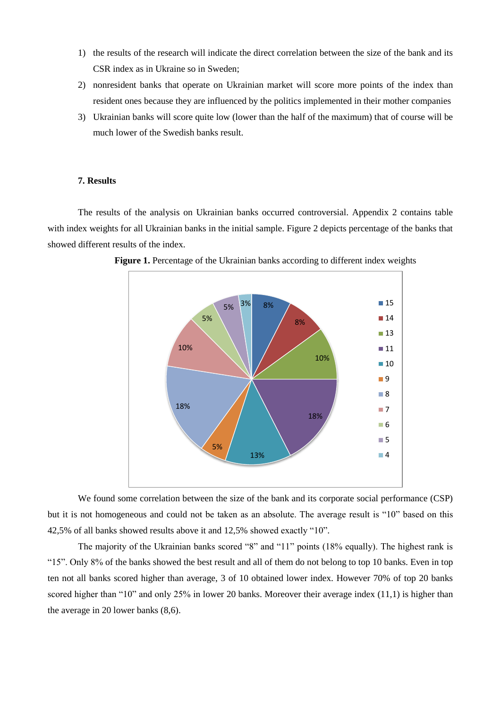- 1) the results of the research will indicate the direct correlation between the size of the bank and its CSR index as in Ukraine so in Sweden;
- 2) nonresident banks that operate on Ukrainian market will score more points of the index than resident ones because they are influenced by the politics implemented in their mother companies
- 3) Ukrainian banks will score quite low (lower than the half of the maximum) that of course will be much lower of the Swedish banks result.

## **7. Results**

The results of the analysis on Ukrainian banks occurred controversial. Appendix 2 contains table with index weights for all Ukrainian banks in the initial sample. Figure 2 depicts percentage of the banks that showed different results of the index.





We found some correlation between the size of the bank and its corporate social performance (CSP) but it is not homogeneous and could not be taken as an absolute. The average result is "10" based on this 42,5% of all banks showed results above it and 12,5% showed exactly "10".

The majority of the Ukrainian banks scored "8" and "11" points (18% equally). The highest rank is ―15‖. Only 8% of the banks showed the best result and all of them do not belong to top 10 banks. Even in top ten not all banks scored higher than average, 3 of 10 obtained lower index. However 70% of top 20 banks scored higher than "10" and only 25% in lower 20 banks. Moreover their average index  $(11.1)$  is higher than the average in 20 lower banks (8,6).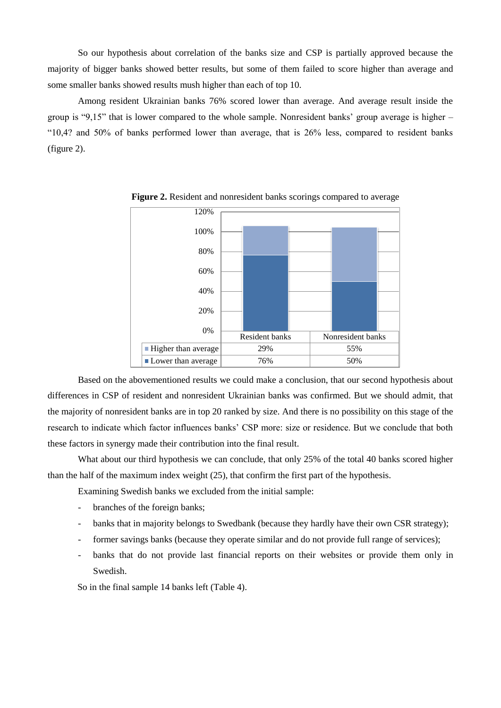So our hypothesis about correlation of the banks size and CSP is partially approved because the majority of bigger banks showed better results, but some of them failed to score higher than average and some smaller banks showed results mush higher than each of top 10.

Among resident Ukrainian banks 76% scored lower than average. And average result inside the group is "9.15" that is lower compared to the whole sample. Nonresident banks' group average is higher  $-$ ―10,4? and 50% of banks performed lower than average, that is 26% less, compared to resident banks (figure 2).



**Figure 2.** Resident and nonresident banks scorings compared to average

Based on the abovementioned results we could make a conclusion, that our second hypothesis about differences in CSP of resident and nonresident Ukrainian banks was confirmed. But we should admit, that the majority of nonresident banks are in top 20 ranked by size. And there is no possibility on this stage of the research to indicate which factor influences banks' CSP more: size or residence. But we conclude that both these factors in synergy made their contribution into the final result.

What about our third hypothesis we can conclude, that only 25% of the total 40 banks scored higher than the half of the maximum index weight (25), that confirm the first part of the hypothesis.

Examining Swedish banks we excluded from the initial sample:

- branches of the foreign banks;
- banks that in majority belongs to Swedbank (because they hardly have their own CSR strategy);
- former savings banks (because they operate similar and do not provide full range of services);
- banks that do not provide last financial reports on their websites or provide them only in Swedish.

So in the final sample 14 banks left (Table 4).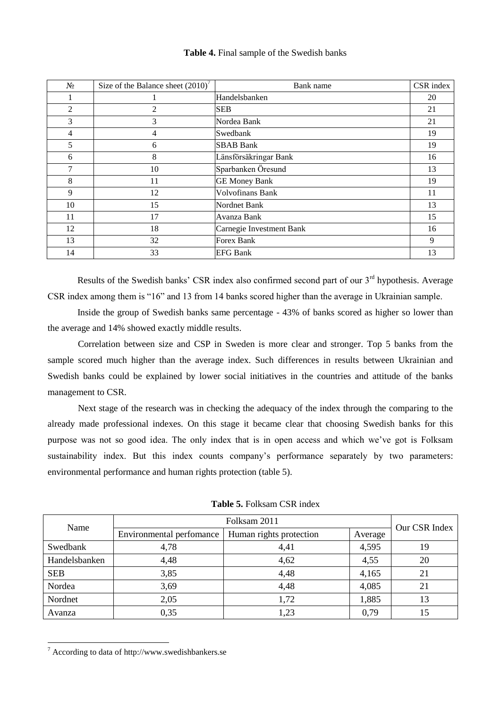| $N_2$          | Size of the Balance sheet $(2010)^7$ | Bank name                | CSR index |
|----------------|--------------------------------------|--------------------------|-----------|
|                |                                      | Handelsbanken            | 20        |
| $\overline{c}$ | $\overline{2}$                       | <b>SEB</b>               | 21        |
| 3              | 3                                    | Nordea Bank              | 21        |
| 4              | 4                                    | Swedbank                 | 19        |
| 5              | 6                                    | <b>SBAB Bank</b>         | 19        |
| 6              | 8                                    | Länsförsäkringar Bank    | 16        |
| 7              | 10                                   | Sparbanken Öresund       | 13        |
| 8              | 11                                   | <b>GE Money Bank</b>     | 19        |
| 9              | 12                                   | <b>Volvofinans Bank</b>  | 11        |
| 10             | 15                                   | Nordnet Bank             | 13        |
| 11             | 17                                   | Avanza Bank              | 15        |
| 12             | 18                                   | Carnegie Investment Bank | 16        |
| 13             | 32                                   | Forex Bank               | 9         |
| 14             | 33                                   | <b>EFG Bank</b>          | 13        |

## **Table 4.** Final sample of the Swedish banks

Results of the Swedish banks' CSR index also confirmed second part of our 3<sup>rd</sup> hypothesis. Average CSR index among them is "16" and 13 from 14 banks scored higher than the average in Ukrainian sample.

Inside the group of Swedish banks same percentage - 43% of banks scored as higher so lower than the average and 14% showed exactly middle results.

Correlation between size and CSP in Sweden is more clear and stronger. Top 5 banks from the sample scored much higher than the average index. Such differences in results between Ukrainian and Swedish banks could be explained by lower social initiatives in the countries and attitude of the banks management to CSR.

Next stage of the research was in checking the adequacy of the index through the comparing to the already made professional indexes. On this stage it became clear that choosing Swedish banks for this purpose was not so good idea. The only index that is in open access and which we've got is Folksam sustainability index. But this index counts company's performance separately by two parameters: environmental performance and human rights protection (table 5).

| Name          | Folksam 2011             |                         |         | Our CSR Index |
|---------------|--------------------------|-------------------------|---------|---------------|
|               | Environmental perfomance | Human rights protection | Average |               |
| Swedbank      | 4,78                     | 4,41                    | 4,595   | 19            |
| Handelsbanken | 4,48                     | 4,62                    | 4,55    | 20            |
| <b>SEB</b>    | 3,85                     | 4,48                    | 4,165   | 21            |
| Nordea        | 3,69                     | 4,48                    | 4,085   |               |
| Nordnet       | 2,05                     | 1,72                    | 1,885   | 13            |
| Avanza        | 0,35                     | 1,23                    | 0,79    |               |

**Table 5.** Folksam CSR index

1

<sup>7</sup> According to data of http://www.swedishbankers.se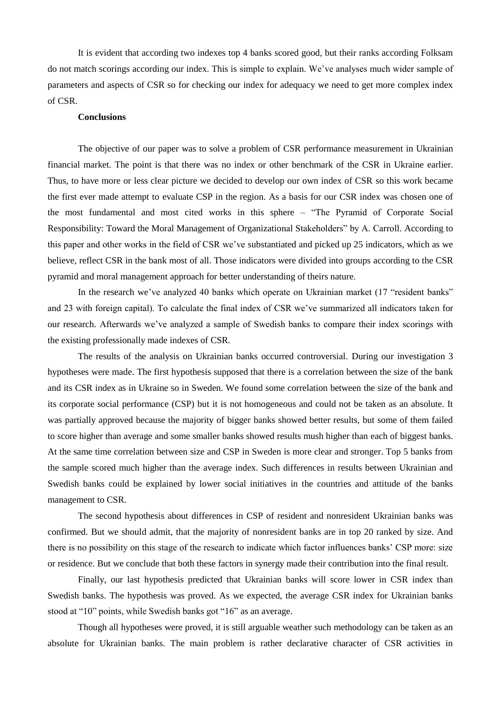It is evident that according two indexes top 4 banks scored good, but their ranks according Folksam do not match scorings according our index. This is simple to explain. We've analyses much wider sample of parameters and aspects of CSR so for checking our index for adequacy we need to get more complex index of CSR.

# **Conclusions**

The objective of our paper was to solve a problem of CSR performance measurement in Ukrainian financial market. The point is that there was no index or other benchmark of the CSR in Ukraine earlier. Thus, to have more or less clear picture we decided to develop our own index of CSR so this work became the first ever made attempt to evaluate CSP in the region. As a basis for our CSR index was chosen one of the most fundamental and most cited works in this sphere – "The Pyramid of Corporate Social Responsibility: Toward the Moral Management of Organizational Stakeholders" by A. Carroll. According to this paper and other works in the field of CSR we've substantiated and picked up 25 indicators, which as we believe, reflect CSR in the bank most of all. Those indicators were divided into groups according to the CSR pyramid and moral management approach for better understanding of theirs nature.

In the research we've analyzed 40 banks which operate on Ukrainian market (17 "resident banks" and 23 with foreign capital). To calculate the final index of CSR we've summarized all indicators taken for our research. Afterwards we've analyzed a sample of Swedish banks to compare their index scorings with the existing professionally made indexes of CSR.

The results of the analysis on Ukrainian banks occurred controversial. During our investigation 3 hypotheses were made. The first hypothesis supposed that there is a correlation between the size of the bank and its CSR index as in Ukraine so in Sweden. We found some correlation between the size of the bank and its corporate social performance (CSP) but it is not homogeneous and could not be taken as an absolute. It was partially approved because the majority of bigger banks showed better results, but some of them failed to score higher than average and some smaller banks showed results mush higher than each of biggest banks. At the same time correlation between size and CSP in Sweden is more clear and stronger. Top 5 banks from the sample scored much higher than the average index. Such differences in results between Ukrainian and Swedish banks could be explained by lower social initiatives in the countries and attitude of the banks management to CSR.

The second hypothesis about differences in CSP of resident and nonresident Ukrainian banks was confirmed. But we should admit, that the majority of nonresident banks are in top 20 ranked by size. And there is no possibility on this stage of the research to indicate which factor influences banks' CSP more: size or residence. But we conclude that both these factors in synergy made their contribution into the final result.

Finally, our last hypothesis predicted that Ukrainian banks will score lower in CSR index than Swedish banks. The hypothesis was proved. As we expected, the average CSR index for Ukrainian banks stood at "10" points, while Swedish banks got "16" as an average.

Though all hypotheses were proved, it is still arguable weather such methodology can be taken as an absolute for Ukrainian banks. The main problem is rather declarative character of CSR activities in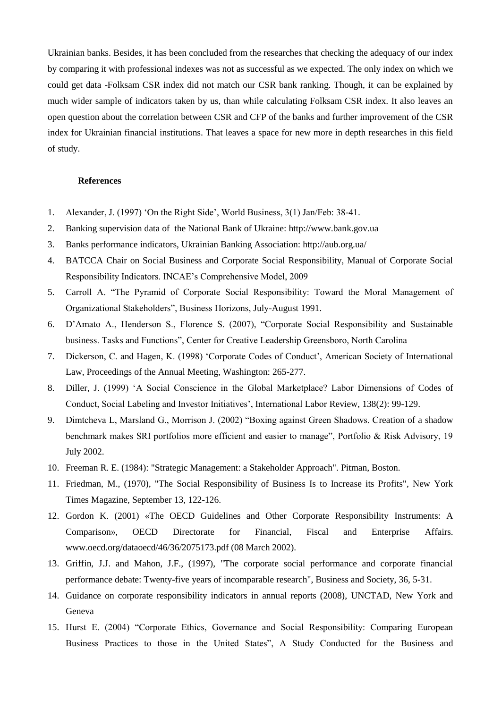Ukrainian banks. Besides, it has been concluded from the researches that checking the adequacy of our index by comparing it with professional indexes was not as successful as we expected. The only index on which we could get data -Folksam CSR index did not match our CSR bank ranking. Though, it can be explained by much wider sample of indicators taken by us, than while calculating Folksam CSR index. It also leaves an open question about the correlation between CSR and CFP of the banks and further improvement of the CSR index for Ukrainian financial institutions. That leaves a space for new more in depth researches in this field of study.

## **References**

- 1. Alexander, J. (1997) ‗On the Right Side', World Business, 3(1) Jan/Feb: 38-41.
- 2. Banking supervision data of the National Bank of Ukraine: http://www.bank.gov.ua
- 3. Banks performance indicators, Ukrainian Banking Association: http://aub.org.ua/
- 4. BATCCA Chair on Social Business and Corporate Social Responsibility, Manual of Corporate Social Responsibility Indicators. INCAE's Comprehensive Model, 2009
- 5. Carroll A. "The Pyramid of Corporate Social Responsibility: Toward the Moral Management of Organizational Stakeholders‖, Business Horizons, July-August 1991.
- 6. D'Amato A., Henderson S., Florence S. (2007), "Corporate Social Responsibility and Sustainable business. Tasks and Functions‖, Center for Creative Leadership Greensboro, North Carolina
- 7. Dickerson, C. and Hagen, K. (1998) ‗Corporate Codes of Conduct', American Society of International Law, Proceedings of the Annual Meeting, Washington: 265-277.
- 8. Diller, J. (1999) ‗A Social Conscience in the Global Marketplace? Labor Dimensions of Codes of Conduct, Social Labeling and Investor Initiatives', International Labor Review, 138(2): 99-129.
- 9. Dimtcheva L, Marsland G., Morrison J. (2002) "Boxing against Green Shadows. Creation of a shadow benchmark makes SRI portfolios more efficient and easier to manage", Portfolio & Risk Advisory, 19 July 2002.
- 10. Freeman R. E. (1984): "Strategic Management: a Stakeholder Approach". Pitman, Boston.
- 11. Friedman, M., (1970), "The Social Responsibility of Business Is to Increase its Profits", New York Times Magazine, September 13, 122-126.
- 12. Gordon K. (2001) «The OECD Guidelines and Other Corporate Responsibility Instruments: A Comparison», OECD Directorate for Financial, Fiscal and Enterprise Affairs. www.oecd.org/dataoecd/46/36/2075173.pdf (08 March 2002).
- 13. Griffin, J.J. and Mahon, J.F., (1997), "The corporate social performance and corporate financial performance debate: Twenty-five years of incomparable research", Business and Society, 36, 5-31.
- 14. Guidance on corporate responsibility indicators in annual reports (2008), UNCTAD, New York and Geneva
- 15. Hurst E. (2004) "Corporate Ethics, Governance and Social Responsibility: Comparing European Business Practices to those in the United States", A Study Conducted for the Business and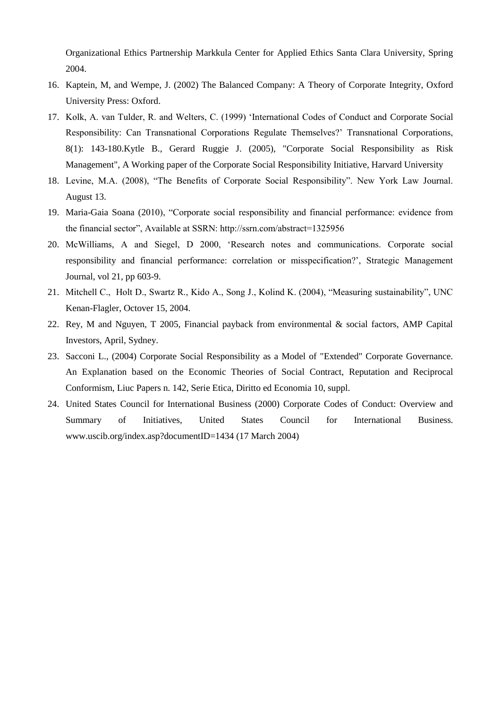Organizational Ethics Partnership Markkula Center for Applied Ethics Santa Clara University, Spring 2004.

- 16. Kaptein, M, and Wempe, J. (2002) The Balanced Company: A Theory of Corporate Integrity, Oxford University Press: Oxford.
- 17. Kolk, A. van Tulder, R. and Welters, C. (1999) 'International Codes of Conduct and Corporate Social Responsibility: Can Transnational Corporations Regulate Themselves?' Transnational Corporations, 8(1): 143-180.Kytle B., Gerard Ruggie J. (2005), "Corporate Social Responsibility as Risk Management", A Working paper of the Corporate Social Responsibility Initiative, Harvard University
- 18. Levine, M.A. (2008), "The Benefits of Corporate Social Responsibility". New York Law Journal. August 13.
- 19. Maria-Gaia Soana (2010), "Corporate social responsibility and financial performance: evidence from the financial sector". Available at SSRN: http://ssrn.com/abstract=1325956
- 20. McWilliams, A and Siegel, D 2000, ‗Research notes and communications. Corporate social responsibility and financial performance: correlation or misspecification?', Strategic Management Journal, vol 21, pp 603-9.
- 21. Mitchell C., Holt D., Swartz R., Kido A., Song J., Kolind K. (2004), "Measuring sustainability", UNC Kenan-Flagler, Octover 15, 2004.
- 22. Rey, M and Nguyen, T 2005, Financial payback from environmental & social factors, AMP Capital Investors, April, Sydney.
- 23. Sacconi L., (2004) Corporate Social Responsibility as a Model of "Extended" Corporate Governance. An Explanation based on the Economic Theories of Social Contract, Reputation and Reciprocal Conformism, Liuc Papers n. 142, Serie Etica, Diritto ed Economia 10, suppl.
- 24. United States Council for International Business (2000) Corporate Codes of Conduct: Overview and Summary of Initiatives, United States Council for International Business. www.uscib.org/index.asp?documentID=1434 (17 March 2004)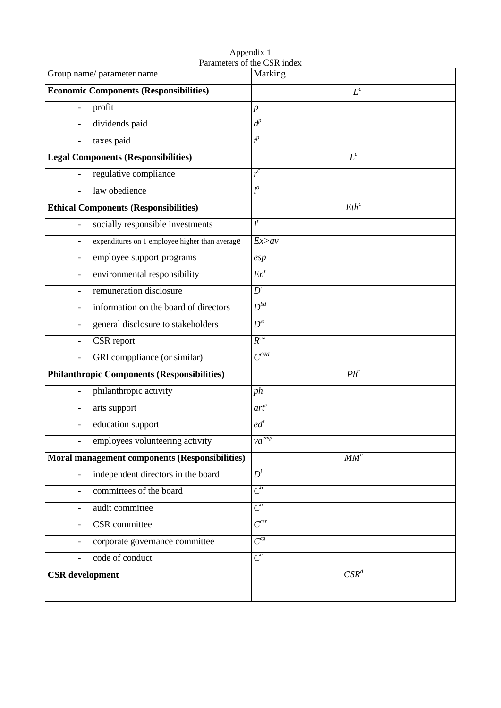| Group name/ parameter name                                                 | Marking               |  |
|----------------------------------------------------------------------------|-----------------------|--|
| <b>Economic Components (Responsibilities)</b>                              | $E^c$                 |  |
| profit                                                                     | $\overline{p}$        |  |
| dividends paid<br>$\overline{a}$                                           | $d^p$                 |  |
| taxes paid<br>$\frac{1}{2}$                                                | $t^p$                 |  |
| <b>Legal Components (Responsibilities)</b>                                 | $\overline{L^c}$      |  |
| regulative compliance                                                      | $r^{c}$               |  |
| law obedience<br>$\overline{a}$                                            | $l^{\circ}$           |  |
| <b>Ethical Components (Responsibilities)</b>                               | $Eth^c$               |  |
| socially responsible investments<br>$\qquad \qquad \blacksquare$           | $I^r$                 |  |
| expenditures on 1 employee higher than average<br>$\overline{\phantom{a}}$ | $Ex\text{&}x$         |  |
| employee support programs<br>$\overline{a}$                                | esp                   |  |
| environmental responsibility<br>$\qquad \qquad -$                          | En <sup>r</sup>       |  |
| remuneration disclosure<br>$\overline{\phantom{a}}$                        | $D^{r}$               |  |
| information on the board of directors<br>$\overline{a}$                    | $D^{bd}$              |  |
| general disclosure to stakeholders<br>$\overline{\phantom{a}}$             | $D^{st}$              |  |
| CSR report<br>$\frac{1}{2}$                                                | $R^{csr}$             |  |
| GRI comppliance (or similar)                                               | $\overline{C^{GRI}}$  |  |
| <b>Philanthropic Components (Responsibilities)</b>                         | Ph <sup>r</sup>       |  |
| philanthropic activity<br>$\frac{1}{2}$                                    | ph                    |  |
| arts support<br>$\qquad \qquad \blacksquare$                               | $art^s$               |  |
| education support                                                          | $ed^s$                |  |
| employees volunteering activity                                            | $\overline{va^{emp}}$ |  |
| Moral management components (Responsibilities)                             | $MM^c$                |  |
| independent directors in the board                                         | $D^i$                 |  |
| committees of the board<br>$\qquad \qquad \blacksquare$                    | $\overline{C}^b$      |  |
| audit committee<br>$\qquad \qquad \blacksquare$                            | $\overline{C}^a$      |  |
| CSR committee<br>$\frac{1}{2}$                                             | $\overline{C^{csr}}$  |  |
| corporate governance committee                                             | $C^{cg}$              |  |
| code of conduct<br>$\overline{\phantom{a}}$                                | $\overline{C}^c$      |  |
| <b>CSR</b> development                                                     | $CSR^d$               |  |
|                                                                            |                       |  |

Appendix 1 Parameters of the CSR index